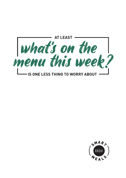